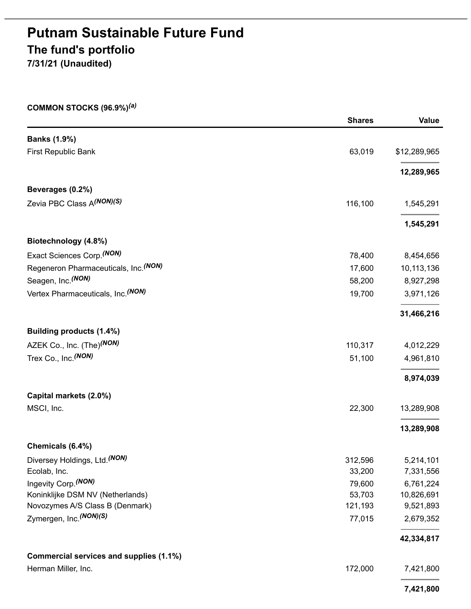# **Putnam Sustainable Future Fund The fund's portfolio**

**7/31/21 (Unaudited)**

### **COMMON STOCKS (96.9%)** *(a)*

|                                         | <b>Shares</b> | <b>Value</b> |
|-----------------------------------------|---------------|--------------|
| <b>Banks (1.9%)</b>                     |               |              |
| First Republic Bank                     | 63,019        | \$12,289,965 |
|                                         |               | 12,289,965   |
| Beverages (0.2%)                        |               |              |
| Zevia PBC Class A(NON)(S)               | 116,100       | 1,545,291    |
|                                         |               | 1,545,291    |
| Biotechnology (4.8%)                    |               |              |
| Exact Sciences Corp. (NON)              | 78,400        | 8,454,656    |
| Regeneron Pharmaceuticals, Inc. (NON)   | 17,600        | 10,113,136   |
| Seagen, Inc. (NON)                      | 58,200        | 8,927,298    |
| Vertex Pharmaceuticals, Inc. (NON)      | 19,700        | 3,971,126    |
|                                         |               | 31,466,216   |
| Building products (1.4%)                |               |              |
| AZEK Co., Inc. (The) <sup>(NON)</sup>   | 110,317       | 4,012,229    |
| Trex Co., Inc. (NON)                    | 51,100        | 4,961,810    |
|                                         |               | 8,974,039    |
| Capital markets (2.0%)                  |               |              |
| MSCI, Inc.                              | 22,300        | 13,289,908   |
|                                         |               | 13,289,908   |
| Chemicals (6.4%)                        |               |              |
| Diversey Holdings, Ltd. (NON)           | 312,596       | 5,214,101    |
| Ecolab, Inc.                            | 33,200        | 7,331,556    |
| Ingevity Corp. (NON)                    | 79,600        | 6,761,224    |
| Koninklijke DSM NV (Netherlands)        | 53,703        | 10,826,691   |
| Novozymes A/S Class B (Denmark)         | 121,193       | 9,521,893    |
| Zymergen, Inc. (NON)(S)                 | 77,015        | 2,679,352    |
|                                         |               | 42,334,817   |
| Commercial services and supplies (1.1%) |               |              |
| Herman Miller, Inc.                     | 172,000       | 7,421,800    |
|                                         |               | 7,421,800    |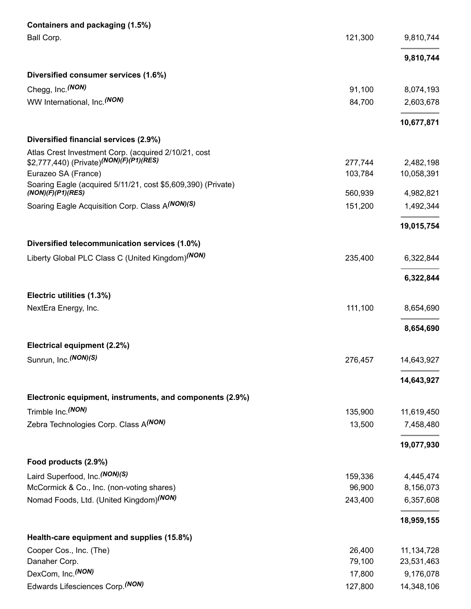| Containers and packaging (1.5%)                                                   |         |              |
|-----------------------------------------------------------------------------------|---------|--------------|
| Ball Corp.                                                                        | 121,300 | 9,810,744    |
|                                                                                   |         | 9,810,744    |
| Diversified consumer services (1.6%)                                              |         |              |
| Chegg, Inc. (NON)                                                                 | 91,100  | 8,074,193    |
| WW International, Inc. <sup>(NON)</sup>                                           | 84,700  | 2,603,678    |
|                                                                                   |         | 10,677,871   |
| Diversified financial services (2.9%)                                             |         |              |
| Atlas Crest Investment Corp. (acquired 2/10/21, cost                              |         |              |
| \$2,777,440) (Private) <sup>(NON)</sup> (F)(P1)(RES)                              | 277,744 | 2,482,198    |
| Eurazeo SA (France)                                                               | 103,784 | 10,058,391   |
| Soaring Eagle (acquired 5/11/21, cost \$5,609,390) (Private)<br>(NON)(F)(P1)(RES) | 560,939 | 4,982,821    |
| Soaring Eagle Acquisition Corp. Class A(NON)(S)                                   | 151,200 | 1,492,344    |
|                                                                                   |         | 19,015,754   |
|                                                                                   |         |              |
| Diversified telecommunication services (1.0%)                                     |         |              |
| Liberty Global PLC Class C (United Kingdom) <sup>(NON)</sup>                      | 235,400 | 6,322,844    |
|                                                                                   |         | 6,322,844    |
| Electric utilities (1.3%)                                                         |         |              |
| NextEra Energy, Inc.                                                              | 111,100 | 8,654,690    |
|                                                                                   |         | 8,654,690    |
| Electrical equipment (2.2%)                                                       |         |              |
| Sunrun, Inc. (NON)(S)                                                             | 276,457 | 14,643,927   |
|                                                                                   |         | 14,643,927   |
| Electronic equipment, instruments, and components (2.9%)                          |         |              |
| Trimble Inc. (NON)                                                                | 135,900 | 11,619,450   |
| Zebra Technologies Corp. Class A(NON)                                             | 13,500  | 7,458,480    |
|                                                                                   |         |              |
|                                                                                   |         | 19,077,930   |
| Food products (2.9%)                                                              |         |              |
| Laird Superfood, Inc. (NON)(S)                                                    | 159,336 | 4,445,474    |
| McCormick & Co., Inc. (non-voting shares)                                         | 96,900  | 8,156,073    |
| Nomad Foods, Ltd. (United Kingdom) <sup>(NON)</sup>                               | 243,400 | 6,357,608    |
|                                                                                   |         | 18,959,155   |
| Health-care equipment and supplies (15.8%)                                        |         |              |
| Cooper Cos., Inc. (The)                                                           | 26,400  | 11, 134, 728 |
| Danaher Corp.                                                                     | 79,100  | 23,531,463   |
| DexCom, Inc. (NON)                                                                | 17,800  | 9,176,078    |
| Edwards Lifesciences Corp. (NON)                                                  | 127,800 | 14,348,106   |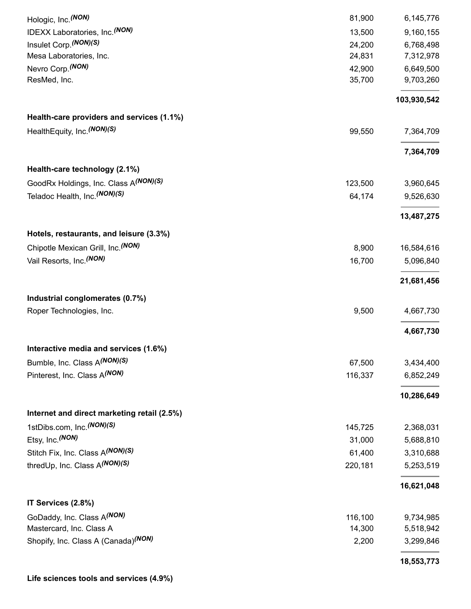|                                                                               |                 | 18,553,773              |
|-------------------------------------------------------------------------------|-----------------|-------------------------|
| Shopify, Inc. Class A (Canada) <sup>(NON)</sup>                               | 2,200           | 3,299,846               |
| Mastercard, Inc. Class A                                                      | 14,300          | 5,518,942               |
| GoDaddy, Inc. Class A(NON)                                                    | 116,100         | 9,734,985               |
| IT Services (2.8%)                                                            |                 | 16,621,048              |
| thredUp, Inc. Class A(NON)(S)                                                 | 220,181         | 5,253,519               |
| Stitch Fix, Inc. Class A(NON)(S)                                              | 61,400          | 3,310,688               |
| Etsy, Inc. (NON)                                                              | 31,000          | 5,688,810               |
| 1stDibs.com, Inc. (NON)(S)                                                    | 145,725         | 2,368,031               |
| Internet and direct marketing retail (2.5%)                                   |                 |                         |
|                                                                               |                 | 10,286,649              |
| Pinterest, Inc. Class A(NON)                                                  | 116,337         | 6,852,249               |
| Bumble, Inc. Class A(NON)(S)                                                  | 67,500          | 3,434,400               |
| Interactive media and services (1.6%)                                         |                 | 4,667,730               |
| Roper Technologies, Inc.                                                      | 9,500           | 4,667,730               |
| Industrial conglomerates (0.7%)                                               |                 |                         |
|                                                                               |                 | 21,681,456              |
| Vail Resorts, Inc. (NON)                                                      | 8,900<br>16,700 | 16,584,616<br>5,096,840 |
| Hotels, restaurants, and leisure (3.3%)<br>Chipotle Mexican Grill, Inc. (NON) |                 |                         |
|                                                                               |                 | 13,487,275              |
| Teladoc Health, Inc. (NON)(S)                                                 | 64,174          | 9,526,630               |
| Health-care technology (2.1%)<br>GoodRx Holdings, Inc. Class A(NON)(S)        | 123,500         | 3,960,645               |
|                                                                               |                 | 7,364,709               |
| HealthEquity, Inc. (NON)(S)                                                   | 99,550          | 7,364,709               |
| Health-care providers and services (1.1%)                                     |                 | 103,930,542             |
| ResMed, Inc.                                                                  | 35,700          | 9,703,260               |
| Nevro Corp. (NON)                                                             | 42,900          | 6,649,500               |
| Mesa Laboratories, Inc.                                                       | 24,831          | 7,312,978               |
| Insulet Corp. (NON)(S)                                                        | 24,200          | 6,768,498               |
| IDEXX Laboratories, Inc. (NON)                                                | 13,500          | 9,160,155               |
| Hologic, Inc. (NON)                                                           | 81,900          | 6,145,776               |

**Life sciences tools and services (4.9%)**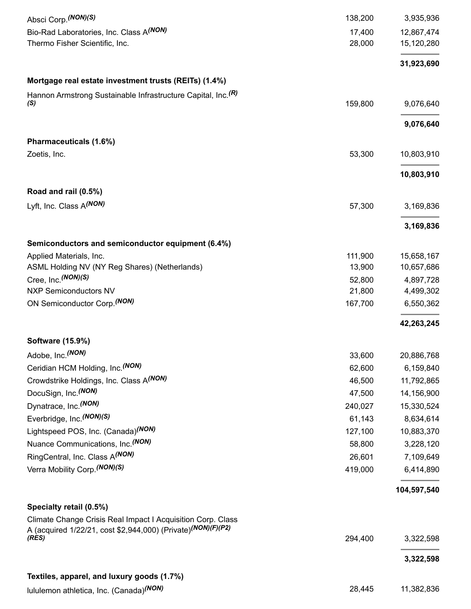| Absci Corp. (NON)(S)                                                                                                                    | 138,200 | 3,935,936   |
|-----------------------------------------------------------------------------------------------------------------------------------------|---------|-------------|
| Bio-Rad Laboratories, Inc. Class A(NON)                                                                                                 | 17,400  | 12,867,474  |
| Thermo Fisher Scientific, Inc.                                                                                                          | 28,000  | 15,120,280  |
|                                                                                                                                         |         | 31,923,690  |
| Mortgage real estate investment trusts (REITs) (1.4%)                                                                                   |         |             |
| Hannon Armstrong Sustainable Infrastructure Capital, Inc. <sup>(R)</sup>                                                                |         |             |
| (S)                                                                                                                                     | 159,800 | 9,076,640   |
|                                                                                                                                         |         | 9,076,640   |
| Pharmaceuticals (1.6%)                                                                                                                  |         |             |
| Zoetis, Inc.                                                                                                                            | 53,300  | 10,803,910  |
|                                                                                                                                         |         | 10,803,910  |
| Road and rail (0.5%)                                                                                                                    |         |             |
| Lyft, Inc. Class A(NON)                                                                                                                 | 57,300  | 3,169,836   |
|                                                                                                                                         |         | 3,169,836   |
| Semiconductors and semiconductor equipment (6.4%)                                                                                       |         |             |
| Applied Materials, Inc.                                                                                                                 | 111,900 | 15,658,167  |
| ASML Holding NV (NY Reg Shares) (Netherlands)                                                                                           | 13,900  | 10,657,686  |
| Cree, Inc. (NON)(S)                                                                                                                     | 52,800  | 4,897,728   |
| <b>NXP Semiconductors NV</b>                                                                                                            | 21,800  | 4,499,302   |
| ON Semiconductor Corp. (NON)                                                                                                            | 167,700 | 6,550,362   |
|                                                                                                                                         |         | 42,263,245  |
| Software (15.9%)                                                                                                                        |         |             |
| Adobe, Inc. (NON)                                                                                                                       | 33,600  | 20,886,768  |
| Ceridian HCM Holding, Inc. (NON)                                                                                                        | 62,600  | 6,159,840   |
| Crowdstrike Holdings, Inc. Class A(NON)                                                                                                 | 46,500  | 11,792,865  |
| DocuSign, Inc. (NON)                                                                                                                    | 47,500  | 14,156,900  |
| Dynatrace, Inc. (NON)                                                                                                                   | 240,027 | 15,330,524  |
| Everbridge, Inc. (NON)(S)                                                                                                               | 61,143  | 8,634,614   |
| Lightspeed POS, Inc. (Canada) <sup>(NON)</sup>                                                                                          | 127,100 | 10,883,370  |
| Nuance Communications, Inc. <sup>(NON)</sup>                                                                                            | 58,800  | 3,228,120   |
| RingCentral, Inc. Class A(NON)                                                                                                          | 26,601  | 7,109,649   |
| Verra Mobility Corp. (NON)(S)                                                                                                           | 419,000 | 6,414,890   |
|                                                                                                                                         |         | 104,597,540 |
| Specialty retail (0.5%)                                                                                                                 |         |             |
| Climate Change Crisis Real Impact I Acquisition Corp. Class<br>A (acquired 1/22/21, cost \$2,944,000) (Private) <sup>(NON)(F)(P2)</sup> |         |             |
| (RES)                                                                                                                                   | 294,400 | 3,322,598   |
|                                                                                                                                         |         | 3,322,598   |
| Textiles, apparel, and luxury goods (1.7%)                                                                                              |         |             |
| lululemon athletica, Inc. (Canada) <sup>(NON)</sup>                                                                                     | 28,445  | 11,382,836  |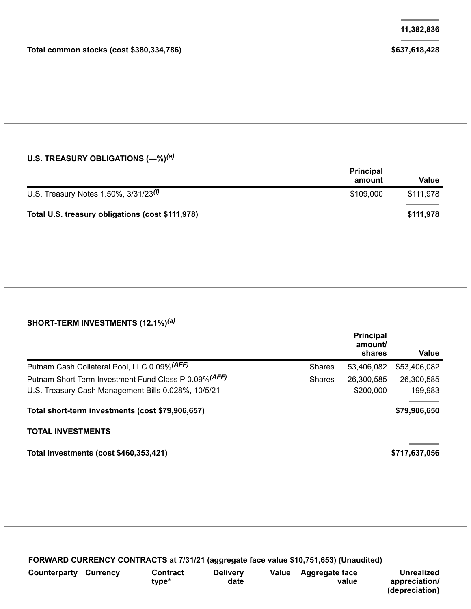### **U.S. TREASURY OBLIGATIONS (—%)** *(a)*

|                                                  | <b>Principal</b><br>amount | Value     |
|--------------------------------------------------|----------------------------|-----------|
| U.S. Treasury Notes 1.50%, $3/31/23^{(i)}$       | \$109.000                  | \$111.978 |
| Total U.S. treasury obligations (cost \$111,978) |                            | \$111,978 |

### **SHORT-TERM INVESTMENTS (12.1%)** *(a)*

|                                                       |               | <b>Principal</b><br>amount/<br>shares | Value         |
|-------------------------------------------------------|---------------|---------------------------------------|---------------|
| Putnam Cash Collateral Pool, LLC 0.09% (AFF)          | <b>Shares</b> | 53,406,082                            | \$53,406,082  |
| Putnam Short Term Investment Fund Class P 0.09% (AFF) | <b>Shares</b> | 26,300,585                            | 26,300,585    |
| U.S. Treasury Cash Management Bills 0.028%, 10/5/21   |               | \$200,000                             | 199,983       |
| Total short-term investments (cost \$79,906,657)      |               |                                       | \$79,906,650  |
| <b>TOTAL INVESTMENTS</b>                              |               |                                       |               |
| Total investments (cost \$460,353,421)                |               |                                       | \$717,637,056 |

**FORWARD CURRENCY CONTRACTS at 7/31/21 (aggregate face value \$10,751,653) (Unaudited)**

| Counterparty | Currencv | Contract<br>tvpe* | <b>Delivery</b><br>date | Value | Aggregate face<br>value | <b>Unrealized</b><br>appreciation/<br>(depreciation) |
|--------------|----------|-------------------|-------------------------|-------|-------------------------|------------------------------------------------------|
|              |          |                   |                         |       |                         |                                                      |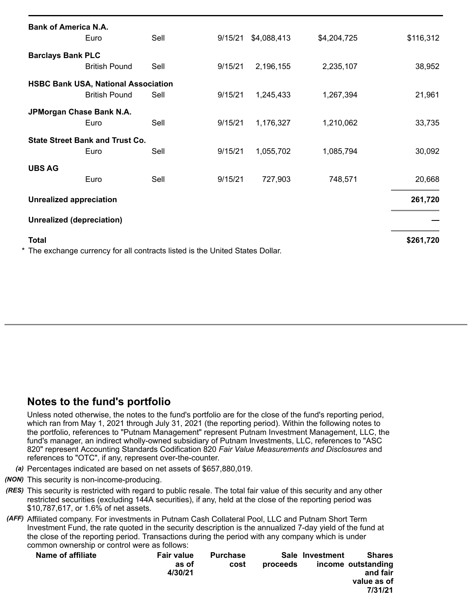| <b>Bank of America N.A.</b>    |                                                                    |                                                                               |         |             |             |           |  |
|--------------------------------|--------------------------------------------------------------------|-------------------------------------------------------------------------------|---------|-------------|-------------|-----------|--|
|                                | Euro                                                               | Sell                                                                          | 9/15/21 | \$4,088,413 | \$4,204,725 | \$116,312 |  |
| <b>Barclays Bank PLC</b>       | <b>British Pound</b>                                               | Sell                                                                          | 9/15/21 | 2,196,155   | 2,235,107   | 38,952    |  |
|                                | <b>HSBC Bank USA, National Association</b><br><b>British Pound</b> | Sell                                                                          | 9/15/21 | 1,245,433   | 1,267,394   | 21,961    |  |
|                                | JPMorgan Chase Bank N.A.<br>Euro                                   | Sell                                                                          | 9/15/21 | 1,176,327   | 1,210,062   | 33,735    |  |
|                                | <b>State Street Bank and Trust Co.</b><br>Euro                     | Sell                                                                          | 9/15/21 | 1,055,702   | 1,085,794   | 30,092    |  |
| <b>UBS AG</b>                  | Euro                                                               | Sell                                                                          | 9/15/21 | 727,903     | 748,571     | 20,668    |  |
| <b>Unrealized appreciation</b> |                                                                    |                                                                               |         |             |             | 261,720   |  |
| Unrealized (depreciation)      |                                                                    |                                                                               |         |             |             |           |  |
| <b>Total</b>                   |                                                                    | * The exchange currency for all contracts listed is the United States Dollar. |         |             |             | \$261,720 |  |

## **Notes to the fund's portfolio**

Unless noted otherwise, the notes to the fund's portfolio are for the close of the fund's reporting period, which ran from May 1, 2021 through July 31, 2021 (the reporting period). Within the following notes to the portfolio, references to "Putnam Management" represent Putnam Investment Management, LLC, the fund's manager, an indirect wholly-owned subsidiary of Putnam Investments, LLC, references to "ASC 820" represent Accounting Standards Codification 820 *Fair Value Measurements and Disclosures* and references to "OTC", if any, represent over-the-counter.

- *(a)* Percentages indicated are based on net assets of \$657,880,019.
- *(NON)* This security is non-income-producing.
- *(RES)* This security is restricted with regard to public resale. The total fair value of this security and any other restricted securities (excluding 144A securities), if any, held at the close of the reporting period was \$10,787,617, or 1.6% of net assets.
- *(AFF)* Affiliated company. For investments in Putnam Cash Collateral Pool, LLC and Putnam Short Term Investment Fund, the rate quoted in the security description is the annualized 7-day yield of the fund at the close of the reporting period. Transactions during the period with any company which is under common ownership or control were as follows:

| Name of affiliate | <b>Fair value</b><br>as of<br>4/30/21 | <b>Purchase</b><br>cost | proceeds | Sale Investment | <b>Shares</b><br>income outstanding<br>and fair<br>value as of<br>7/31/21 |
|-------------------|---------------------------------------|-------------------------|----------|-----------------|---------------------------------------------------------------------------|
|                   |                                       |                         |          |                 |                                                                           |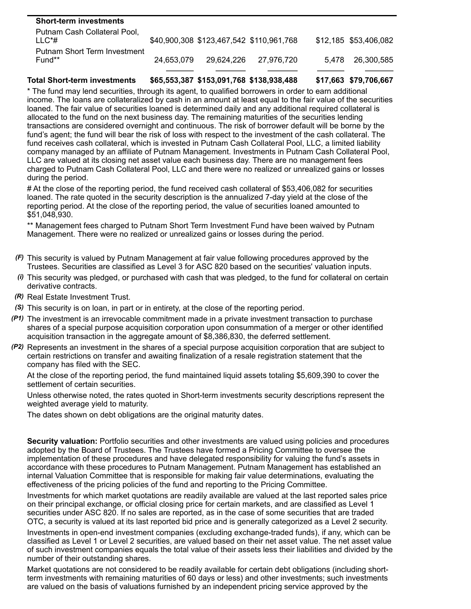| <b>Short-term investments</b>            |            |                                          |            |                       |
|------------------------------------------|------------|------------------------------------------|------------|-----------------------|
| Putnam Cash Collateral Pool,<br>$LLC^*#$ |            | \$40,900,308 \$123,467,542 \$110,961,768 |            | \$12,185 \$53,406,082 |
| Putnam Short Term Investment<br>Fund**   | 24.653.079 | 29.624.226                               | 27.976.720 | 5.478 26.300.585      |
|                                          |            |                                          |            |                       |

**Total Short-term investments \$65,553,387 \$153,091,768 \$138,938,488 \$17,663 \$79,706,667**

\* The fund may lend securities, through its agent, to qualified borrowers in order to earn additional income. The loans are collateralized by cash in an amount at least equal to the fair value of the securities loaned. The fair value of securities loaned is determined daily and any additional required collateral is allocated to the fund on the next business day. The remaining maturities of the securities lending transactions are considered overnight and continuous. The risk of borrower default will be borne by the fund's agent; the fund will bear the risk of loss with respect to the investment of the cash collateral. The fund receives cash collateral, which is invested in Putnam Cash Collateral Pool, LLC, a limited liability company managed by an affiliate of Putnam Management. Investments in Putnam Cash Collateral Pool, LLC are valued at its closing net asset value each business day. There are no management fees charged to Putnam Cash Collateral Pool, LLC and there were no realized or unrealized gains or losses during the period.

# At the close of the reporting period, the fund received cash collateral of \$53,406,082 for securities loaned. The rate quoted in the security description is the annualized 7-day yield at the close of the reporting period. At the close of the reporting period, the value of securities loaned amounted to \$51,048,930.

\*\* Management fees charged to Putnam Short Term Investment Fund have been waived by Putnam Management. There were no realized or unrealized gains or losses during the period.

- *(F)* This security is valued by Putnam Management at fair value following procedures approved by the Trustees. Securities are classified as Level 3 for ASC 820 based on the securities' valuation inputs.
- *(i)* This security was pledged, or purchased with cash that was pledged, to the fund for collateral on certain derivative contracts.
- *(R)* Real Estate Investment Trust.
- *(S)* This security is on loan, in part or in entirety, at the close of the reporting period.
- *(P1)* The investment is an irrevocable commitment made in a private investment transaction to purchase shares of a special purpose acquisition corporation upon consummation of a merger or other identified acquisition transaction in the aggregate amount of \$8,386,830, the deferred settlement.
- *(P2)* Represents an investment in the shares of a special purpose acquisition corporation that are subject to certain restrictions on transfer and awaiting finalization of a resale registration statement that the company has filed with the SEC.

At the close of the reporting period, the fund maintained liquid assets totaling \$5,609,390 to cover the settlement of certain securities.

Unless otherwise noted, the rates quoted in Short-term investments security descriptions represent the weighted average yield to maturity.

The dates shown on debt obligations are the original maturity dates.

**Security valuation:** Portfolio securities and other investments are valued using policies and procedures adopted by the Board of Trustees. The Trustees have formed a Pricing Committee to oversee the implementation of these procedures and have delegated responsibility for valuing the fund's assets in accordance with these procedures to Putnam Management. Putnam Management has established an internal Valuation Committee that is responsible for making fair value determinations, evaluating the effectiveness of the pricing policies of the fund and reporting to the Pricing Committee.

Investments for which market quotations are readily available are valued at the last reported sales price on their principal exchange, or official closing price for certain markets, and are classified as Level 1 securities under ASC 820. If no sales are reported, as in the case of some securities that are traded OTC, a security is valued at its last reported bid price and is generally categorized as a Level 2 security.

Investments in open-end investment companies (excluding exchange-traded funds), if any, which can be classified as Level 1 or Level 2 securities, are valued based on their net asset value. The net asset value of such investment companies equals the total value of their assets less their liabilities and divided by the number of their outstanding shares.

Market quotations are not considered to be readily available for certain debt obligations (including shortterm investments with remaining maturities of 60 days or less) and other investments; such investments are valued on the basis of valuations furnished by an independent pricing service approved by the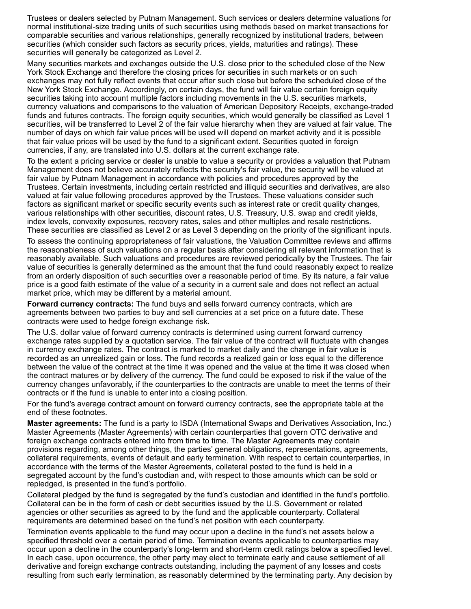Trustees or dealers selected by Putnam Management. Such services or dealers determine valuations for normal institutional-size trading units of such securities using methods based on market transactions for comparable securities and various relationships, generally recognized by institutional traders, between securities (which consider such factors as security prices, yields, maturities and ratings). These securities will generally be categorized as Level 2.

Many securities markets and exchanges outside the U.S. close prior to the scheduled close of the New York Stock Exchange and therefore the closing prices for securities in such markets or on such exchanges may not fully reflect events that occur after such close but before the scheduled close of the New York Stock Exchange. Accordingly, on certain days, the fund will fair value certain foreign equity securities taking into account multiple factors including movements in the U.S. securities markets, currency valuations and comparisons to the valuation of American Depository Receipts, exchange-traded funds and futures contracts. The foreign equity securities, which would generally be classified as Level 1 securities, will be transferred to Level 2 of the fair value hierarchy when they are valued at fair value. The number of days on which fair value prices will be used will depend on market activity and it is possible that fair value prices will be used by the fund to a significant extent. Securities quoted in foreign currencies, if any, are translated into U.S. dollars at the current exchange rate.

To the extent a pricing service or dealer is unable to value a security or provides a valuation that Putnam Management does not believe accurately reflects the security's fair value, the security will be valued at fair value by Putnam Management in accordance with policies and procedures approved by the Trustees. Certain investments, including certain restricted and illiquid securities and derivatives, are also valued at fair value following procedures approved by the Trustees. These valuations consider such factors as significant market or specific security events such as interest rate or credit quality changes, various relationships with other securities, discount rates, U.S. Treasury, U.S. swap and credit yields, index levels, convexity exposures, recovery rates, sales and other multiples and resale restrictions. These securities are classified as Level 2 or as Level 3 depending on the priority of the significant inputs.

To assess the continuing appropriateness of fair valuations, the Valuation Committee reviews and affirms the reasonableness of such valuations on a regular basis after considering all relevant information that is reasonably available. Such valuations and procedures are reviewed periodically by the Trustees. The fair value of securities is generally determined as the amount that the fund could reasonably expect to realize from an orderly disposition of such securities over a reasonable period of time. By its nature, a fair value price is a good faith estimate of the value of a security in a current sale and does not reflect an actual market price, which may be different by a material amount.

**Forward currency contracts:** The fund buys and sells forward currency contracts, which are agreements between two parties to buy and sell currencies at a set price on a future date. These contracts were used to hedge foreign exchange risk.

The U.S. dollar value of forward currency contracts is determined using current forward currency exchange rates supplied by a quotation service. The fair value of the contract will fluctuate with changes in currency exchange rates. The contract is marked to market daily and the change in fair value is recorded as an unrealized gain or loss. The fund records a realized gain or loss equal to the difference between the value of the contract at the time it was opened and the value at the time it was closed when the contract matures or by delivery of the currency. The fund could be exposed to risk if the value of the currency changes unfavorably, if the counterparties to the contracts are unable to meet the terms of their contracts or if the fund is unable to enter into a closing position.

For the fund's average contract amount on forward currency contracts, see the appropriate table at the end of these footnotes.

**Master agreements:** The fund is a party to ISDA (International Swaps and Derivatives Association, Inc.) Master Agreements (Master Agreements) with certain counterparties that govern OTC derivative and foreign exchange contracts entered into from time to time. The Master Agreements may contain provisions regarding, among other things, the parties' general obligations, representations, agreements, collateral requirements, events of default and early termination. With respect to certain counterparties, in accordance with the terms of the Master Agreements, collateral posted to the fund is held in a segregated account by the fund's custodian and, with respect to those amounts which can be sold or repledged, is presented in the fund's portfolio.

Collateral pledged by the fund is segregated by the fund's custodian and identified in the fund's portfolio. Collateral can be in the form of cash or debt securities issued by the U.S. Government or related agencies or other securities as agreed to by the fund and the applicable counterparty. Collateral requirements are determined based on the fund's net position with each counterparty.

Termination events applicable to the fund may occur upon a decline in the fund's net assets below a specified threshold over a certain period of time. Termination events applicable to counterparties may occur upon a decline in the counterparty's long-term and short-term credit ratings below a specified level. In each case, upon occurrence, the other party may elect to terminate early and cause settlement of all derivative and foreign exchange contracts outstanding, including the payment of any losses and costs resulting from such early termination, as reasonably determined by the terminating party. Any decision by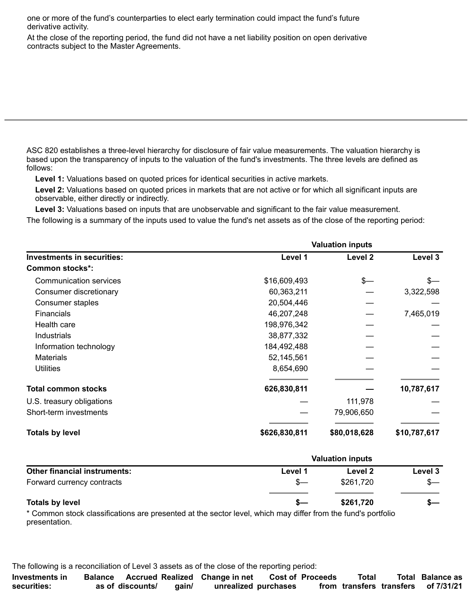one or more of the fund's counterparties to elect early termination could impact the fund's future derivative activity.

At the close of the reporting period, the fund did not have a net liability position on open derivative contracts subject to the Master Agreements.

ASC 820 establishes a three-level hierarchy for disclosure of fair value measurements. The valuation hierarchy is based upon the transparency of inputs to the valuation of the fund's investments. The three levels are defined as follows:

**Level 1:** Valuations based on quoted prices for identical securities in active markets.

**Level 2:** Valuations based on quoted prices in markets that are not active or for which all significant inputs are observable, either directly or indirectly.

**Level 3:** Valuations based on inputs that are unobservable and significant to the fair value measurement.

The following is a summary of the inputs used to value the fund's net assets as of the close of the reporting period:

|                                   | <b>Valuation inputs</b> |              |              |  |  |
|-----------------------------------|-------------------------|--------------|--------------|--|--|
| <b>Investments in securities:</b> | Level 1                 | Level 2      | Level 3      |  |  |
| <b>Common stocks*:</b>            |                         |              |              |  |  |
| Communication services            | \$16,609,493            | $s-$         | $s-$         |  |  |
| Consumer discretionary            | 60,363,211              |              | 3,322,598    |  |  |
| Consumer staples                  | 20,504,446              |              |              |  |  |
| <b>Financials</b>                 | 46,207,248              |              | 7,465,019    |  |  |
| Health care                       | 198,976,342             |              |              |  |  |
| Industrials                       | 38,877,332              |              |              |  |  |
| Information technology            | 184,492,488             |              |              |  |  |
| <b>Materials</b>                  | 52,145,561              |              |              |  |  |
| <b>Utilities</b>                  | 8,654,690               |              |              |  |  |
| <b>Total common stocks</b>        | 626,830,811             |              | 10,787,617   |  |  |
| U.S. treasury obligations         |                         | 111,978      |              |  |  |
| Short-term investments            |                         | 79,906,650   |              |  |  |
| <b>Totals by level</b>            | \$626,830,811           | \$80,018,628 | \$10,787,617 |  |  |

|                                     | <b>Valuation inputs</b> |           |         |  |
|-------------------------------------|-------------------------|-----------|---------|--|
| <b>Other financial instruments:</b> | Level 1                 | Level 2   | Level 3 |  |
| Forward currency contracts          |                         | \$261.720 |         |  |
| <b>Totals by level</b>              |                         | \$261,720 |         |  |

\* Common stock classifications are presented at the sector level, which may differ from the fund's portfolio presentation.

The following is a reconciliation of Level 3 assets as of the close of the reporting period:

| Investments in |                  |       | Balance Accrued Realized Change in net Cost of Proceeds |  | Total | <b>Total Balance as</b>             |
|----------------|------------------|-------|---------------------------------------------------------|--|-------|-------------------------------------|
| securities:    | as of discounts/ | gain/ | unrealized purchases                                    |  |       | from transfers transfers of 7/31/21 |